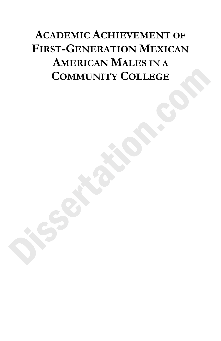# **ACADEMIC ACHIEVEMENT OF FIRST-GENERATION MEXICAN AMERICAN MALES IN A COMMUNITY COLLEGE**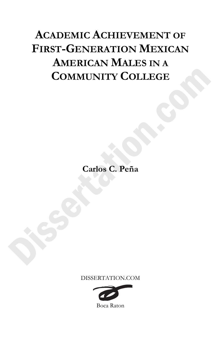# **ACADEMIC ACHIEVEMENT OF FIRST-GENERATION MEXICAN AMERICAN MALES IN A COMMUNITY COLLEGE**

**Carlos C. Peña**

DISSERTATION.COM

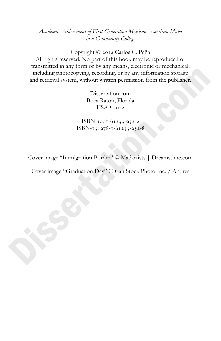*Academic Achievement of First-Generation Mexican American Males in a Community College*

Copyright  $© 2012$  Carlos C. Peña All rights reserved. No part of this book may be reproduced or transmitted in any form or by any means, electronic or mechanical, including photocopying, recording, or by any information storage and retrieval system, without written permission from the publisher.

> Dissertation.com Boca Raton, Florida  $USA \cdot 2012$

ISBN-10:  $1 - 61233 - 952 - 2$ ISBN-13:  $978 - 1 - 61233 - 952 - 8$ 

Cover image "Immigration Border" © Madartists | Dreamstime.com

Cover image "Graduation Day" © Can Stock Photo Inc. / Andres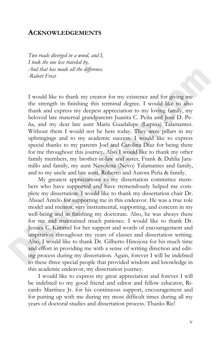## **ACKNOWLEDGEMENTS**

*Two roads diverged in a wood, and I, I took the one less traveled by, And that has made all the difference. -Robert Frost* 

I would like to thank my creator for my existence and for giving me the strength in finishing this terminal degree. I would like to also thank and express my deepest appreciation to my loving family, my beloved late maternal grandparents Juanita C. Peña and José D. Peña, and my dear late aunt María Guadalupe (Lupina) Talamantes. Without them I would not be here today. They were pillars in my upbringings and to my academic success. I would like to express special thanks to my parents Joel and Carolina Díaz for being there for me throughout this journey. Also I would like to thank my other family members, my brother-in-law and sister, Frank & Dahlia Jaramillo and family, my aunt Nevolena (Nevo) Talamantes and family, and to my uncle and late aunt, Roberto and Aurora Peña & family.

My greatest appreciations to my dissertation committee members who have supported and have tremendously helped me complete my dissertation. I would like to thank my dissertation chair Dr. Absael Antelo for supporting me in this endeavor. He was a true role model and mentor, very instrumental, supporting, and concern in my well-being and in finishing my doctorate. Also, he was always there for me and maintained much patience. I would like to thank Dr. Jessica C. Kimmel for her support and words of encouragement and inspiration throughout my years of classes and dissertation writing. Also, I would like to thank Dr. Gilberto Hinojosa for his much time and effort in providing me with a sense of writing direction and editing process during my dissertation. Again, forever I will be indebted to these three special people that provided wisdom and knowledge in this academic endeavor, my dissertation journey.

I would like to express my great appreciation and forever I will be indebted to my good friend and editor and fellow educator, Ricardo Martínez Jr. for his continuous support, encouragement and for putting up with me during my most difficult times during all my years of doctoral studies and dissertation process. Thanks Ric!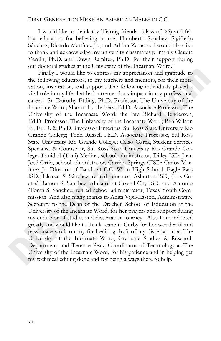#### FIRST-GENERATION MEXICAN AMERICAN MALES IN C.C.

I would like to thank my lifelong friends (class of '86) and fellow educators for believing in me, Humberto Sánchez, Sigifredo Sánchez, Ricardo Martínez Jr., and Adrian Zamora. I would also like to thank and acknowledge my university classmates primarily Claudia Verdin, Ph.D. and Dawn Ramirez, Ph.D. for their support during our doctoral studies at the University of the Incarnate Word.'

Finally I would like to express my appreciation and gratitude to the following educators, to my teachers and mentors, for their motivation, inspiration, and support. The following individuals played a vital role in my life that had a tremendous impact in my professional career: Sr. Dorothy Ettling, Ph.D. Professor, The University of the Incarnate Word; Sharon H. Herbers, Ed.D. Associate Professor, The University of the Incarnate Word; the late Richard Henderson, Ed.D. Professor, The University of the Incarnate Word; Ben Wilson Jr., Ed.D. & Ph.D. Professor Emeritus, Sul Ross State University Rio Grande College; Todd Russell Ph.D. Associate Professor, Sul Ross State University Rio Grande College; Celso Garza, Student Services Specialist & Counselor, Sul Ross State University Rio Grande College; Trinidad (Trini) Medina, school administrator, Dilley ISD; Juan José Ortiz, school administrator, Carrizo Springs CISD; Carlos Martínez Jr. Director of Bands at C.C. Winn High School, Eagle Pass ISD.; Eleazar S. Sánchez, retired educator, Asherton ISD, (Los Cuates) Ramon S. Sánchez, educator at Crystal City ISD, and Antonio (Tony) S. Sánchez, retired school administrator, Texas Youth Commission. And also many thanks to Anita Vigil-Easton, Administrative Secretary to the Dean of the Dreeben School of Education at the University of the Incarnate Word, for her prayers and support during my endeavor of studies and dissertation journey. Also I am indebted greatly and would like to thank Jeanette Curby for her wonderful and passionate work on my final editing draft of my dissertation at The University of the Incarnate Word, Graduate Studies & Research Department, and Terence Peak, Coordinator of Technology at The University of the Incarnate Word, for his patience and in helping get my technical editing done and for being always there to help.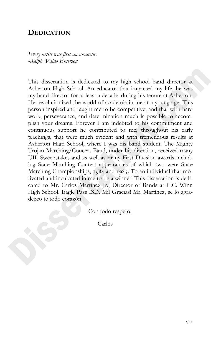# **DEDICATION**

*Every artist was first an amateur. -Ralph Waldo Emerson* 

This dissertation is dedicated to my high school band director at Asherton High School. An educator that impacted my life, he was my band director for at least a decade, during his tenure at Asherton. He revolutionized the world of academia in me at a young age. This person inspired and taught me to be competitive, and that with hard work, perseverance, and determination much is possible to accomplish your dreams. Forever I am indebted to his commitment and continuous support he contributed to me, throughout his early teachings, that were much evident and with tremendous results at Asherton High School, where I was his band student. The Mighty Trojan Marching/Concert Band, under his direction, received many UIL Sweepstakes and as well as many First Division awards including State Marching Contest appearances of which two were State Marching Championships,  $1984$  and  $1985$ . To an individual that motivated and inculcated in me to be a winner! This dissertation is dedicated to Mr. Carlos Martinez Jr., Director of Bands at C.C. Winn High School, Eagle Pass ISD. Mil Gracias! Mr. Martínez, se lo agradezco te todo corazón.

Con todo respeto,

Carlos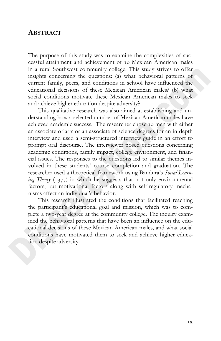# **ABSTRACT**

The purpose of this study was to examine the complexities of successful attainment and achievement of 10 Mexican American males in a rural Southwest community college. This study strives to offer insights concerning the questions: (a) what behavioral patterns of current family, peers, and conditions in school have influenced the educational decisions of these Mexican American males? (b) what social conditions motivate these Mexican American males to seek and achieve higher education despite adversity?

This qualitative research was also aimed at establishing and understanding how a selected number of Mexican American males have achieved academic success. The researcher chose 10 men with either an associate of arts or an associate of science degrees for an in-depth interview and used a semi-structured interview guide in an effort to prompt oral discourse. The interviewer posed questions concerning academic conditions, family impact, college environment, and financial issues. The responses to the questions led to similar themes involved in these students' course completion and graduation. The researcher used a theoretical framework using Bandura's *Social Learning Theory* (1977) in which he suggests that not only environmental factors, but motivational factors along with self-regulatory mechanisms affect an individual's behavior.

This research illustrated the conditions that facilitated reaching the participant's educational goal and mission, which was to complete a two-year degree at the community college. The inquiry examined the behavioral patterns that have been an influence on the educational decisions of these Mexican American males, and what social conditions have motivated them to seek and achieve higher education despite adversity.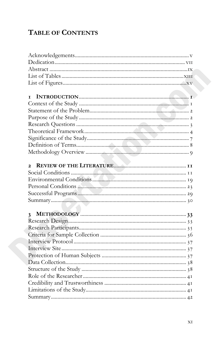# **TABLE OF CONTENTS**

| т            |
|--------------|
|              |
|              |
|              |
|              |
|              |
|              |
|              |
|              |
| $\mathbf{2}$ |
|              |
|              |
|              |
|              |
|              |
|              |
|              |
|              |
|              |
|              |
|              |
|              |
|              |
|              |
|              |
|              |
|              |
|              |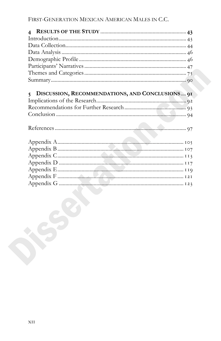| 5 DISCUSSION, RECOMMENDATIONS, AND CONCLUSIONS 91 |  |
|---------------------------------------------------|--|
|                                                   |  |
|                                                   |  |
|                                                   |  |
|                                                   |  |
|                                                   |  |
|                                                   |  |
|                                                   |  |
|                                                   |  |
|                                                   |  |
|                                                   |  |
|                                                   |  |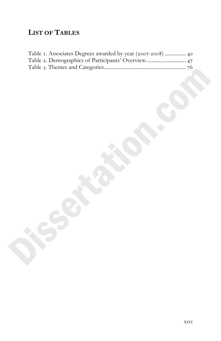# **LIST OF TABLES**

| Table 1. Associates Degrees awarded by year (2007-2008)  40 |  |
|-------------------------------------------------------------|--|
| Table 2. Demographics of Participants' Overview 47          |  |
|                                                             |  |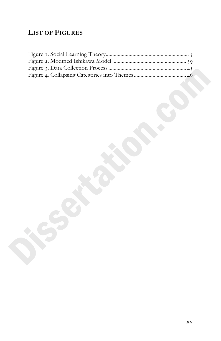# **LIST OF FIGURES**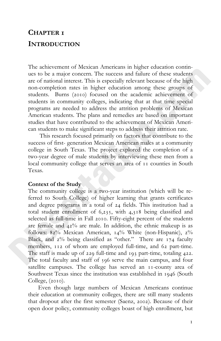# **CHAPTER INTRODUCTION**

The achievement of Mexican Americans in higher education continues to be a major concern. The success and failure of these students are of national interest. This is especially relevant because of the high non-completion rates in higher education among these groups of students. Burns (2010) focused on the academic achievement of students in community colleges, indicating that at that time special programs are needed to address the attrition problems of Mexican American students. The plans and remedies are based on important studies that have contributed to the achievement of Mexican American students to make significant steps to address their attrition rate.

 This research focused primarily on factors that contribute to the success of first- generation Mexican American males at a community college in South Texas. The project explored the completion of a two-year degree of male students by interviewing these men from a local community college that serves an area of  $I$  counties in South Texas.

# **Context of the Study**

The community college is a two-year institution (which will be referred to South College) of higher learning that grants certificates and degree programs in a total of 24 fields. This institution had a total student enrollment of  $6,235$ , with  $4,318$  being classified and selected as full-time in Fall 2010. Fifty-eight percent of the students are female and  $42\%$  are male. In addition, the ethnic makeup is as follows:  $82\%$  Mexican American,  $14\%$  White (non-Hispanic),  $2\%$ Black, and  $2\%$  being classified as "other." There are  $174$  faculty members, 112 of whom are employed full-time, and 62 part-time. The staff is made up of  $229$  full-time and  $193$  part-time, totaling  $422$ . The total faculty and staff of 596 serve the main campus, and four satellite campuses. The college has served an  $11$ -county area of Southwest Texas since the institution was established in 1946 (South College,  $(2010)$ .

 Even though large numbers of Mexican Americans continue their education at community colleges, there are still many students that dropout after the first semester (Saenz, 2002). Because of their open door policy, community colleges boast of high enrollment, but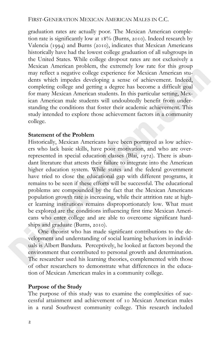graduation rates are actually poor. The Mexican American completion rate is significantly low at  $18\%$  (Burns, 2010). Indeed research by Valencia (1994) and Burns (2010), indicates that Mexican Americans historically have had the lowest college graduation of all subgroups in the United States. While college dropout rates are not exclusively a Mexican American problem, the extremely low rate for this group may reflect a negative college experience for Mexican American students which impedes developing a sense of achievement. Indeed, completing college and getting a degree has become a difficult goal for many Mexican American students. In this particular setting, Mexican American male students will undoubtedly benefit from understanding the conditions that foster their academic achievement. This study intended to explore those achievement factors in a community college.

### **Statement of the Problem**

Historically, Mexican Americans have been portrayed as low achievers who lack basic skills, have poor motivation, and who are overrepresented in special education classes (Blai,  $1972$ ). There is abundant literature that attests their failure to integrate into the American higher education system. While states and the federal government have tried to close the educational gap with different programs, it remains to be seen if these efforts will be successful. The educational problems are compounded by the fact that the Mexican Americans population growth rate is increasing, while their attrition rate at higher learning institutions remains disproportionately low. What must be explored are the conditions influencing first time Mexican Americans who enter college and are able to overcome significant hardships and graduate (Burns, 2010).

One theorist who has made significant contributions to the development and understanding of social learning behaviors in individuals is Albert Bandura. Perceptively, he looked at factors beyond the environment that contributed to personal growth and determination. The researcher used his learning theories, complemented with those of other researchers to demonstrate what differences in the education of Mexican American males in a community college.

#### **Purpose of the Study**

The purpose of this study was to examine the complexities of successful attainment and achievement of 10 Mexican American males in a rural Southwest community college. This research included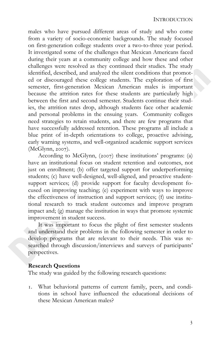males who have pursued different areas of study and who come from a variety of socio-economic backgrounds. The study focused on first-generation college students over a two-to-three year period. It investigated some of the challenges that Mexican Americans faced during their years at a community college and how these and other challenges were resolved as they continued their studies. The study identified, described, and analyzed the silent conditions that promoted or discouraged these college students. The exploration of first semester, first-generation Mexican American males is important because the attrition rates for these students are particularly high between the first and second semester. Students continue their studies, the attrition rates drop, although students face other academic and personal problems in the ensuing years. Community colleges need strategies to retain students, and there are few programs that have successfully addressed retention. These programs all include a blue print of in-depth orientations to college, proactive advising, early warning systems, and well-organized academic support services  $(McGlynn, 2007)$ .

According to McGlynn,  $(2007)$  these institutions' programs: (a) have an institutional focus on student retention and outcomes, not just on enrollment; (b) offer targeted support for underperforming students; (c) have well-designed, well-aligned, and proactive studentsupport services; (d) provide support for faculty development focused on improving teaching; (e) experiment with ways to improve the effectiveness of instruction and support services; (f) use institutional research to track student outcomes and improve program impact and; (g) manage the institution in ways that promote systemic improvement in student success.

It was important to focus the plight of first semester students and understand their problems in the following semester in order to develop programs that are relevant to their needs. This was researched through discussion/interviews and surveys of participants' perspectives.

#### **Research Questions**

The study was guided by the following research questions:

 What behavioral patterns of current family, peers, and conditions in school have influenced the educational decisions of these Mexican American males?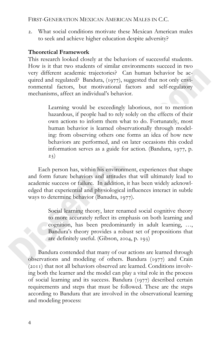## FIRST-GENERATION MEXICAN AMERICAN MALES IN C.C.

 What social conditions motivate these Mexican American males to seek and achieve higher education despite adversity?

## **Theoretical Framework**

This research looked closely at the behaviors of successful students. How is it that two students of similar environments succeed in two very different academic trajectories? Can human behavior be acquired and regulated? Bandura, (1977), suggested that not only environmental factors, but motivational factors and self-regulatory mechanisms, affect an individual's behavior.

> Learning would be exceedingly laborious, not to mention hazardous, if people had to rely solely on the effects of their own actions to inform them what to do. Fortunately, most human behavior is learned observationally through modeling: from observing others one forms an idea of how new behaviors are performed, and on later occasions this coded information serves as a guide for action. (Bandura, 1977, p.  $23)$

Each person has, within his environment, experiences that shape and form future behaviors and attitudes that will ultimately lead to academic success or failure. In addition, it has been widely acknowledged that experiential and physiological influences interact in subtle ways to determine behavior (Banudra, 1977).

> Social learning theory, later renamed social cognitive theory to more accurately reflect its emphasis on both learning and cognition, has been predominantly in adult learning, …, Bandura's theory provides a robust set of propositions that are definitely useful. (Gibson,  $2004$ , p.  $193$ )

Bandura contended that many of our actions are learned through observations and modeling of others. Bandura  $(1977)$  and Crain  $(2011)$  that not all behaviors observed are learned. Conditions involving both the learner and the model can play a vital role in the process of social learning and its success. Bandura  $(1977)$  described certain requirements and steps that must be followed. These are the steps according to Bandura that are involved in the observational learning and modeling process: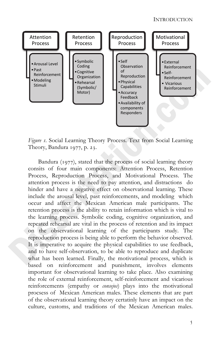

*Figure .* Social Learning Theory Process. Text from Social Learning Theory, Bandura 1977, p. 23.

Bandura  $(1977)$ , stated that the process of social learning theory consits of four main components: Attention Process, Retention Process, Reproduction Process, and Motivational Process. The attention process is the need to pay attention, and distractions do hinder and have a negative effect on observational learning. These include the arousal level, past reinforcements, and modeling which occur and affect the Mexican American male participants. The retention process is the ability to retain information which is vital to the learning process. Symbolic coding, cognitive organization, and repeated rehearsal are vital in the process of retention and its impact on the observational learning of the participants study. The reproduction process is being able to perform the behavior observed. It is imperative to acquire the physical capabilities to use feedback, and to have self-observation, to be able to reproduce and duplicate what has been learned. Finally, the motivational process, which is based on reinforcement and punishment, involves elements important for observational learning to take place. Also examining the role of external reinforcement, self-reinforcement and vicarious reinforcements (empathy or *consejos*) plays into the motivational procsess of Mexican American males. These elements that are part of the observational learning theory certatinly have an impact on the culture, customs, and traditions of the Mexican American males.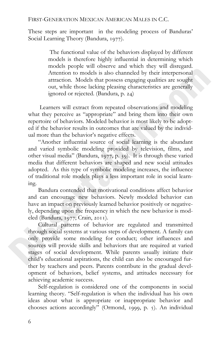These steps are important in the modeling process of Banduras' Social Learning Theory (Bandura, 1977).

> The functional value of the behaviors displayed by different models is therefore highly influential in determining which models people will observe and which they will disregard. Attention to models is also channeled by their interpersonal attraction. Models that possess engaging qualities are sought out, while those lacking pleasing characteristics are generally ignored or rejected. (Bandura, p. 24)

 Learners will extract from repeated observations and modeling what they perceive as "appropriate" and bring them into their own repertoire of behaviors. Modeled behavior is most likely to be adopted if the behavior results in outcomes that are valued by the individual more than the behavior's negative effects.

"Another influential source of social learning is the abundant and varied symbolic modeling provided by television, films, and other visual media" (Bandura,  $1977$ , p. 39). It is through these varied media that different behaviors are shaped and new social attitudes adopted. As this type of symbolic modeling increases, the influence of traditional role models plays a less important role in social learning.

Bandura contended that motivational conditions affect behavior and can encourage new behaviors. Newly modeled behavior can have an impact on previously learned behavior positively or negatively, depending upon the frequency in which the new behavior is modeled (Bandura, 1977; Crain, 2011).

Cultural patterns of behavior are regulated and transmitted through social systems at various steps of development. A family can only provide some modeling for conduct; other influences and sources will provide skills and behaviors that are required at varied stages of social development. While parents usually initiate their child's educational aspirations, the child can also be encouraged further by teachers and peers. Parents contribute in the gradual development of behaviors, belief systems, and attitudes necessary for achieving academic success.

 Self-regulation is considered one of the components in social learning theory. "Self-regulation is when the individual has his own ideas about what is appropriate or inappropriate behavior and chooses actions accordingly" (Ormond, 1999, p.  $\beta$ ). An individual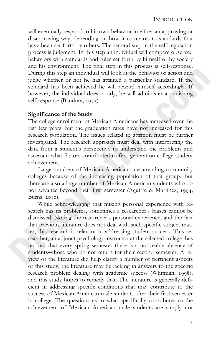will eventually respond to his own behavior in either an approving or disapproving way, depending on how it compares to standards that have been set forth by others. The second step in the self-regulation process is judgment. In this step an individual will compare observed behaviors with standards and rules set forth by himself or by society and his environment. The final step in this process is self-response. During this step an individual will look at the behavior or action and judge whether or not he has attained a particular standard. If the standard has been achieved he will reward himself accordingly. If however, the individual does poorly, he will administer a punishing self-response (Bandura, 1977).

## **Significance of the Study**

The college enrollment of Mexican Americans has increased over the last few years, but the graduation rates have not increased for this research population. The issues related to attrition must be further investigated. The research approach must deal with interpreting the data from a student's perspective to understand the problems and ascertain what factors contributed to first-generation college student achievement.

 Large numbers of Mexican Americans are attending community colleges because of the increasing population of that group. But there are also a large number of Mexican American students who do not advance beyond their first semester (Aguirre & Martinez, 1994; Burns,  $2010$ ).

 While acknowledging that mixing personal experience with research has its problems, sometimes a researcher's biases cannot be dismissed. Noting the researcher's personal experience, and the fact that previous literature does not deal with such specific subject matter, this research is relevant in addressing student success. This researcher, an adjunct psychology instructor at the selected college, has noticed that every spring semester there is a noticeable absence of students**--**those who do not return for their second semester. A review of the literature did help clarify a number of pertinent aspects of this study, the literature may be lacking in answers to the specific research problem dealing with academic success (Whitman, 1998), and this study hopes to remedy that. The literature is generally deficient in addressing specific conditions that may contribute to the success of Mexican American male students after their first semester in college. The questions as to what specifically contributes to the achievement of Mexican American male students are simply not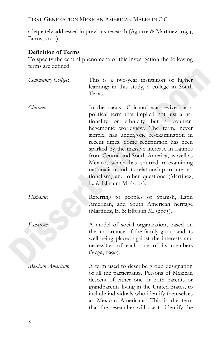FIRST-GENERATION MEXICAN AMERICAN MALES IN C.C.

adequately addressed in previous research (Aguirre & Martinez, 1994; Burns, 2010).

# **Definition of Terms**

To specify the central phenomena of this investigation the following terms are defined:

| Community College: | This is a two-year institution of higher<br>learning; in this study, a college in South<br>Texas.                                                                                                                                                                                                                                                                                                                                                                                                                           |
|--------------------|-----------------------------------------------------------------------------------------------------------------------------------------------------------------------------------------------------------------------------------------------------------------------------------------------------------------------------------------------------------------------------------------------------------------------------------------------------------------------------------------------------------------------------|
| Chicano:           | In the 1960s, 'Chicano' was revived as a<br>political term that implied not just a na-<br>tionality or ethnicity but a counter-<br>hegemonic worldview. The term, never<br>simple, has undergone re-examination in<br>recent times. Some redefinition has been<br>sparked by the massive increase in Latinos<br>from Central and South America, as well as<br>México, which has spurred re-examining<br>nationalism and its relationship to interna-<br>tionalism, and other questions (Martínez,<br>E. & Elbaum M. (2005). |
| Hispanic:          | Referring to peoples of Spanish, Latin<br>American, and South American heritage<br>(Martínez, E. & Elbaum M. (2005).                                                                                                                                                                                                                                                                                                                                                                                                        |
| Familism:          | A model of social organization, based on<br>the importance of the family group and its<br>well-being placed against the interests and<br>necessities of each one of its members<br>(Vega, 1990).                                                                                                                                                                                                                                                                                                                            |
| Mexican American:  | A term used to describe group designation<br>of all the participants. Persons of Mexican<br>descent of either one or both parents or<br>grandparents living in the United States, to<br>include individuals who identify themselves<br>as Mexican Americans. This is the term<br>that the researcher will use to identify the                                                                                                                                                                                               |